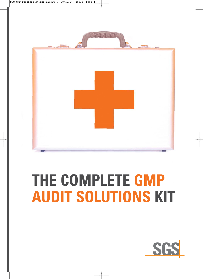

# **THE COMPLETE GMP AUDIT SOLUTIONS KIT**

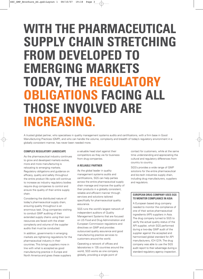# **WITH THE PHARMACEUTICAL SUPPLY CHAIN STRETCHING FROM DEVELOPED TO EMERGING MARKETS TODAY, THE REGULATORY OBLIGATIONS FACING ALL THOSE INVOLVED ARE INCREASING.**

A trusted global partner, who specialises in quality management systems audits and certifications, with a firm base in Good Manufacturing Practices (GMP), and who can handle the volume, complexity and breadth of today's regulatory environment in a globally consistent manner, has never been needed more.

### **COMPLEX REGULATORY LANDSCAPE**

As the pharmaceutical industry continues to grow and developed markets evolve, more and more manufacturing is relocating to emerging markets. Regulatory obligations and guidance on efficacy, quality and safety throughout the entire product life cycle will continue to increase as industry regulatory bodies require drug companies to control and ensure the quality of their entire supply chain.

Considering the distributed nature of today's pharmaceutical supply chain, ensuring quality throughout is an enormous task. Drug companies wishing to conduct GMP auditing of their extended supply chains using their own resources are faced with the sheer complexity and volume of the supplier audits that must be conducted.

In addition, governments in emerging markets are tightening regulations for the pharmaceutical industry in their countries. This brings suppliers more in line with what is accepted as good manufacturing practice in Europe and North America and gives these suppliers

a valuable head start against their competitors as they vie for business from drug companies.

### **A RELIABLE PARTNER**

As the global leader in quality management systems audits and certifications, SGS can help parties across the entire pharmaceutical supply chain manage and improve the quality of their products in a globally consistent, reliable and efficient manner through services and solutions tailored specifically for pharmaceutical quality assurance.

SGS runs the world's largest network of independent auditors of Quality Management Systems that are focused on US Food and Drug Administration and European Commission regulations and directives on GMP and provides outsourced quality assurance and good manufacturing practice services to customers around the world.

Operating a network of offices and laboratories in 135 countries around the world, SGS works as one company globally, providing a single point of

contact for customers, while at the same time understanding and appreciating the cultural and regulatory differences from country to country.

SGS's provides a wide range of GMP solutions for the entire pharmaceutical and bio-tech industries supply chain, including drug manufacturers, suppliers and regulators.

### **EUROPEAN DRUG COMPANY USES SGS TO MONITOR COMPLIANCE IN ASIA**

A European based drug company needed to monitor the compliance of one of their active pharmaceutical ingredients (API) suppliers in Asia. The drug company turned to SGS to verify the actual quality status of the API supplier, which SGS performed during a two-day GMP audit of the supplier against the accepted and harmonised global standard for API manufacturers, ICH Q7A. The drug company was able to use the SGS audit report to their advantage during a standard regulatory agency inspection.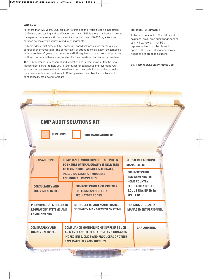# **WHY SGS?**

For more than 120 years, SGS has built its brand as the world's leading inspection, verification, and testing and certification company. SGS is the global leader in quality management systems audits and certifications with over 100,000 organisations certified across a wide variety of industry segments.

SGS provides a vast array of GMP compliant analytical techniques for the quality control of pharmaceuticals. The combination of strong technical expertise combined with more than 30 years of experience in GMP regulated contract services provides SGS's customers with a unique solution for their needs in pharmaceutical analysis.

The SGS approach is transparent and logical, which is what makes SGS the ideal independent partner to help you in your quest for continuous improvement. Our experts are hand-selected and trained based on their technical expertise as well as their business acumen, and like all SGS employees their objectivity, ethics and confidentiality are beyond reproach.

### **FOR MORE INFORMATION**

To learn more about SGS's GMP audit solutions, email gmp-audits@sgs.com or call +41 22 739 9111. An SGS representative would be pleased to speak with you about your company's needs and to propose solutions.

# **VISIT WWW.SGS.COM/PHARMA-GMP**

|                                                                                         |                                                                                                          | <b>GMP AUDIT SOLUTIONS KIT</b>                                                                                                                                                      |                                                                                                                                             |                                                           |  |
|-----------------------------------------------------------------------------------------|----------------------------------------------------------------------------------------------------------|-------------------------------------------------------------------------------------------------------------------------------------------------------------------------------------|---------------------------------------------------------------------------------------------------------------------------------------------|-----------------------------------------------------------|--|
| <b>SUPPLIERS</b>                                                                        |                                                                                                          | <b>DRUG MANUFACTURERS</b>                                                                                                                                                           |                                                                                                                                             |                                                           |  |
|                                                                                         |                                                                                                          |                                                                                                                                                                                     |                                                                                                                                             |                                                           |  |
| <b>GAP-AUDITING</b>                                                                     |                                                                                                          | <b>COMPLIANCE MONITORING FOR SUPPLIERS</b><br>TO ENSURE OPTIMAL QUALITY IS DELIVERED                                                                                                |                                                                                                                                             | <b>GLOBAL KEY ACCOUNT</b><br><b>MANAGEMENT</b>            |  |
|                                                                                         | TO CLIENTS SUCH AS MULTINATIONALS,<br><b>INCLUDING GENERIC PRODUCERS</b><br><b>AND BIOTECH COMPANIES</b> |                                                                                                                                                                                     | <b>PRE-INSPECTION</b><br><b>ASSESSMENTS FOR</b><br><b>HOME COUNTRY</b><br><b>REGULATORY BODIES,</b><br>E.G., US FDA, EU EMEA,<br>JPAL, ETC. |                                                           |  |
| <b>CONSULTANCY AND</b><br><b>TRAINING SERVICES</b>                                      |                                                                                                          | <b>PRE-INSPECTION ASSESSMENTS</b><br><b>FOR LOCAL AND FOREIGN</b><br><b>REGULATORY BODIES</b>                                                                                       |                                                                                                                                             |                                                           |  |
| <b>PREPARING FOR CHANGES IN</b><br><b>REGULATORY SYSTEMS AND</b><br><b>ENVIRONMENTS</b> |                                                                                                          | <b>INITIAL SET UP AND MAINTENANCE</b><br>OF QUALITY MANAGEMENT SYSTEMS                                                                                                              |                                                                                                                                             | <b>TRAINING OF QUALITY</b><br><b>MANAGEMENT PERSONNEL</b> |  |
| <b>CONSULTANCY AND</b><br><b>TRAINING SERVICES</b>                                      |                                                                                                          | <b>COMPLIANCE MONITORING OF SUPPLIERS SUCH</b><br>AS MANUFACTURERS OF ACTIVE AND NON-ACTIVE<br><b>INGREDIENTS, CMOS AND PRODUCERS OF OTHER</b><br><b>RAW MATERIALS AND SUPPLIES</b> |                                                                                                                                             | <b>GAP-AUDITING</b>                                       |  |
|                                                                                         |                                                                                                          |                                                                                                                                                                                     |                                                                                                                                             | <b>CONTRACTOR</b>                                         |  |